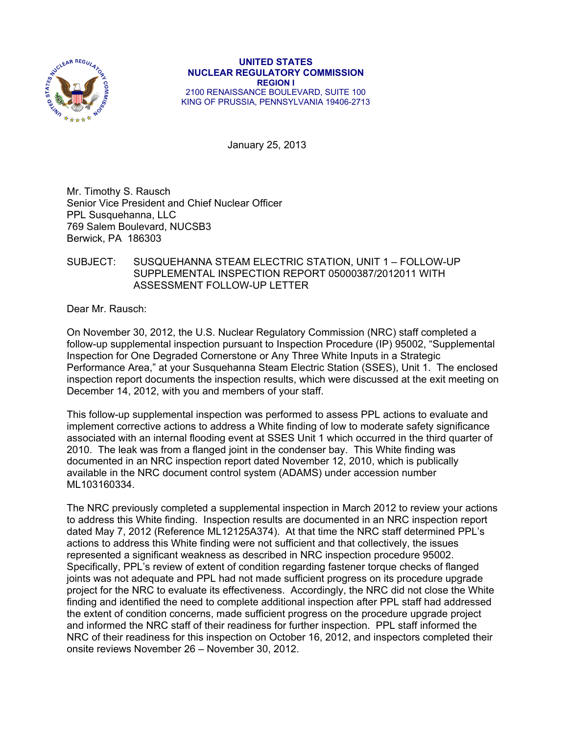

**UNITED STATES NUCLEAR REGULATORY COMMISSION REGION I**  2100 RENAISSANCE BOULEVARD, SUITE 100 KING OF PRUSSIA, PENNSYLVANIA 19406-2713

January 25, 2013

Mr. Timothy S. Rausch Senior Vice President and Chief Nuclear Officer PPL Susquehanna, LLC 769 Salem Boulevard, NUCSB3 Berwick, PA 186303

### SUBJECT: SUSQUEHANNA STEAM ELECTRIC STATION, UNIT 1 – FOLLOW-UP SUPPLEMENTAL INSPECTION REPORT 05000387/2012011 WITH ASSESSMENT FOLLOW-UP LETTER

Dear Mr. Rausch:

On November 30, 2012, the U.S. Nuclear Regulatory Commission (NRC) staff completed a follow-up supplemental inspection pursuant to Inspection Procedure (IP) 95002, "Supplemental Inspection for One Degraded Cornerstone or Any Three White Inputs in a Strategic Performance Area," at your Susquehanna Steam Electric Station (SSES), Unit 1. The enclosed inspection report documents the inspection results, which were discussed at the exit meeting on December 14, 2012, with you and members of your staff.

This follow-up supplemental inspection was performed to assess PPL actions to evaluate and implement corrective actions to address a White finding of low to moderate safety significance associated with an internal flooding event at SSES Unit 1 which occurred in the third quarter of 2010. The leak was from a flanged joint in the condenser bay. This White finding was documented in an NRC inspection report dated November 12, 2010, which is publically available in the NRC document control system (ADAMS) under accession number ML103160334.

The NRC previously completed a supplemental inspection in March 2012 to review your actions to address this White finding. Inspection results are documented in an NRC inspection report dated May 7, 2012 (Reference ML12125A374). At that time the NRC staff determined PPL's actions to address this White finding were not sufficient and that collectively, the issues represented a significant weakness as described in NRC inspection procedure 95002. Specifically, PPL's review of extent of condition regarding fastener torque checks of flanged joints was not adequate and PPL had not made sufficient progress on its procedure upgrade project for the NRC to evaluate its effectiveness. Accordingly, the NRC did not close the White finding and identified the need to complete additional inspection after PPL staff had addressed the extent of condition concerns, made sufficient progress on the procedure upgrade project and informed the NRC staff of their readiness for further inspection. PPL staff informed the NRC of their readiness for this inspection on October 16, 2012, and inspectors completed their onsite reviews November 26 – November 30, 2012.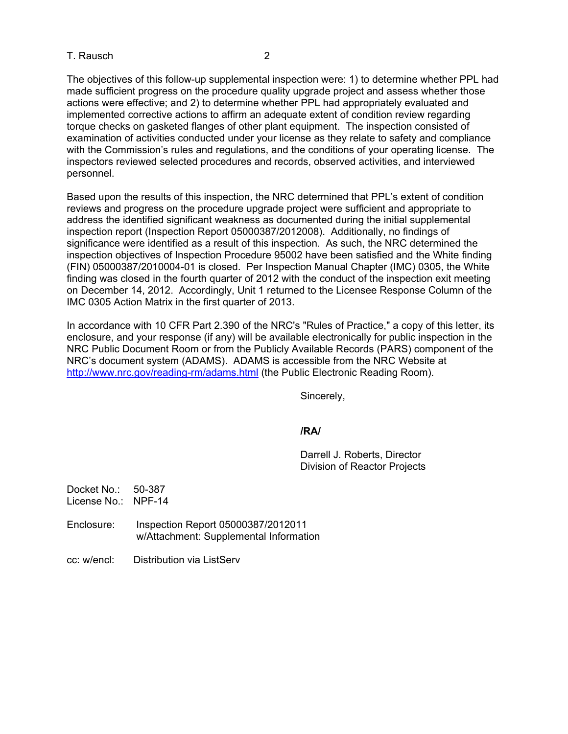### T. Rausch 2

The objectives of this follow-up supplemental inspection were: 1) to determine whether PPL had made sufficient progress on the procedure quality upgrade project and assess whether those actions were effective; and 2) to determine whether PPL had appropriately evaluated and implemented corrective actions to affirm an adequate extent of condition review regarding torque checks on gasketed flanges of other plant equipment. The inspection consisted of examination of activities conducted under your license as they relate to safety and compliance with the Commission's rules and regulations, and the conditions of your operating license. The inspectors reviewed selected procedures and records, observed activities, and interviewed personnel.

Based upon the results of this inspection, the NRC determined that PPL's extent of condition reviews and progress on the procedure upgrade project were sufficient and appropriate to address the identified significant weakness as documented during the initial supplemental inspection report (Inspection Report 05000387/2012008). Additionally, no findings of significance were identified as a result of this inspection. As such, the NRC determined the inspection objectives of Inspection Procedure 95002 have been satisfied and the White finding (FIN) 05000387/2010004-01 is closed. Per Inspection Manual Chapter (IMC) 0305, the White finding was closed in the fourth quarter of 2012 with the conduct of the inspection exit meeting on December 14, 2012. Accordingly, Unit 1 returned to the Licensee Response Column of the IMC 0305 Action Matrix in the first quarter of 2013.

In accordance with 10 CFR Part 2.390 of the NRC's "Rules of Practice," a copy of this letter, its enclosure, and your response (if any) will be available electronically for public inspection in the NRC Public Document Room or from the Publicly Available Records (PARS) component of the NRC's document system (ADAMS). ADAMS is accessible from the NRC Website at http://www.nrc.gov/reading-rm/adams.html (the Public Electronic Reading Room).

Sincerely,

### **/RA/**

Darrell J. Roberts, Director Division of Reactor Projects

Docket No.: 50-387 License No.: NPF-14

- Enclosure: Inspection Report 05000387/2012011 w/Attachment: Supplemental Information
- cc: w/encl: Distribution via ListServ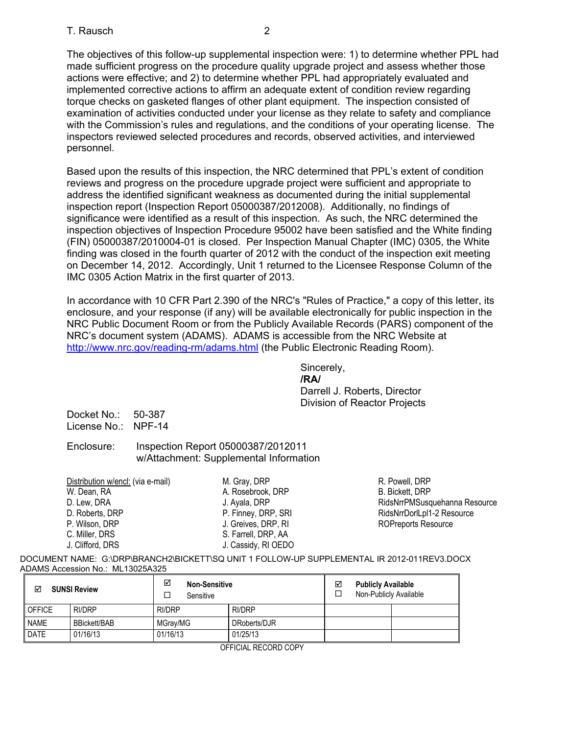### T. Rausch 2

The objectives of this follow-up supplemental inspection were: 1) to determine whether PPL had made sufficient progress on the procedure quality upgrade project and assess whether those actions were effective; and 2) to determine whether PPL had appropriately evaluated and implemented corrective actions to affirm an adequate extent of condition review regarding torque checks on gasketed flanges of other plant equipment. The inspection consisted of examination of activities conducted under your license as they relate to safety and compliance with the Commission's rules and regulations, and the conditions of your operating license. The inspectors reviewed selected procedures and records, observed activities, and interviewed personnel.

Based upon the results of this inspection, the NRC determined that PPL's extent of condition reviews and progress on the procedure upgrade project were sufficient and appropriate to address the identified significant weakness as documented during the initial supplemental inspection report (Inspection Report 05000387/2012008). Additionally, no findings of significance were identified as a result of this inspection. As such, the NRC determined the inspection objectives of Inspection Procedure 95002 have been satisfied and the White finding (FIN) 05000387/2010004-01 is closed. Per Inspection Manual Chapter (IMC) 0305, the White finding was closed in the fourth quarter of 2012 with the conduct of the inspection exit meeting on December 14, 2012. Accordingly, Unit 1 returned to the Licensee Response Column of the IMC 0305 Action Matrix in the first quarter of 2013.

In accordance with 10 CFR Part 2.390 of the NRC's "Rules of Practice," a copy of this letter, its enclosure, and your response (if any) will be available electronically for public inspection in the NRC Public Document Room or from the Publicly Available Records (PARS) component of the NRC's document system (ADAMS). ADAMS is accessible from the NRC Website at http://www.nrc.gov/reading-rm/adams.html (the Public Electronic Reading Room).

Sincerely, *<i>/RA/*  $\sqrt{R}$ /RA/ Darrell J. Roberts, Director Division of Reactor Projects

Docket No.: 50-387 License No.: NPF-14

### Enclosure: Inspection Report 05000387/2012011 w/Attachment: Supplemental Information

| Distribution w/encl: (via e-mail) | M. Gray, DRP        |
|-----------------------------------|---------------------|
| W. Dean, RA                       | A. Rosebrook, DRP   |
| D. Lew, DRA                       | J. Ayala, DRP       |
| D. Roberts, DRP                   | P. Finney, DRP, SRI |
| P. Wilson, DRP                    | J. Greives, DRP, RI |
| C. Miller, DRS                    | S. Farrell, DRP, AA |
| J. Clifford, DRS                  | J. Cassidy, RI OEDO |

R. Powell, DRP B. Bickett, DRP RidsNrrPMSusquehanna Resource RidsNrrDorlLpl1-2 Resource ROPreports Resource

DOCUMENT NAME: G:\DRP\BRANCH2\BICKETT\SQ UNIT 1 FOLLOW-UP SUPPLEMENTAL IR 2012-011REV3.DOCX ADAMS Accession No.: ML13025A325

| ☑             | <b>SUNSI Review</b> | ☑<br><b>Non-Sensitive</b><br>Sensitive |              | ☑<br>$\Box$ | <b>Publicly Available</b><br>Non-Publicly Available |  |
|---------------|---------------------|----------------------------------------|--------------|-------------|-----------------------------------------------------|--|
| <b>OFFICE</b> | <b>RI/DRP</b>       | RI/DRP                                 | RI/DRP       |             |                                                     |  |
| <b>NAME</b>   | <b>BBickett/BAB</b> | MGrav/MG                               | DRoberts/DJR |             |                                                     |  |
| <b>DATE</b>   | 01/16/13            | 01/16/13                               | 01/25/13     |             |                                                     |  |

OFFICIAL RECORD COPY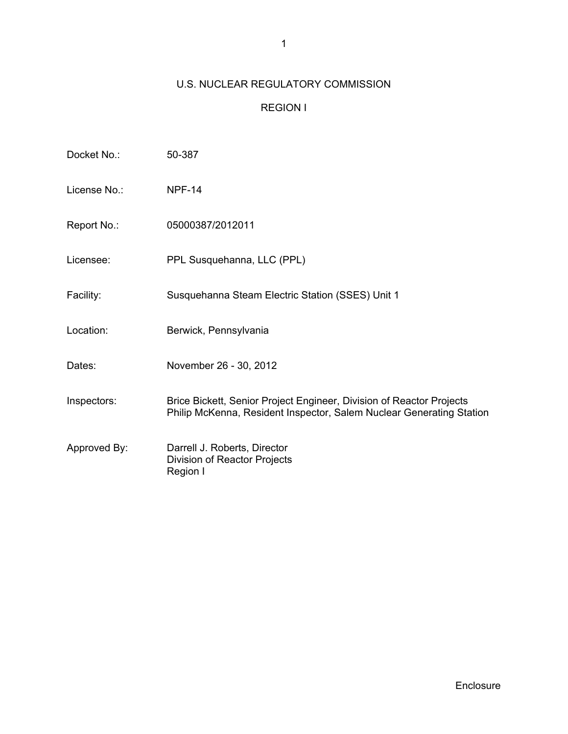# U.S. NUCLEAR REGULATORY COMMISSION

## REGION I

| Docket No.:  | 50-387                                                                                                                                       |
|--------------|----------------------------------------------------------------------------------------------------------------------------------------------|
| License No.: | <b>NPF-14</b>                                                                                                                                |
| Report No.:  | 05000387/2012011                                                                                                                             |
| Licensee:    | PPL Susquehanna, LLC (PPL)                                                                                                                   |
| Facility:    | Susquehanna Steam Electric Station (SSES) Unit 1                                                                                             |
| Location:    | Berwick, Pennsylvania                                                                                                                        |
| Dates:       | November 26 - 30, 2012                                                                                                                       |
| Inspectors:  | Brice Bickett, Senior Project Engineer, Division of Reactor Projects<br>Philip McKenna, Resident Inspector, Salem Nuclear Generating Station |
| Approved By: | Darrell J. Roberts, Director<br>Division of Reactor Projects<br>Region I                                                                     |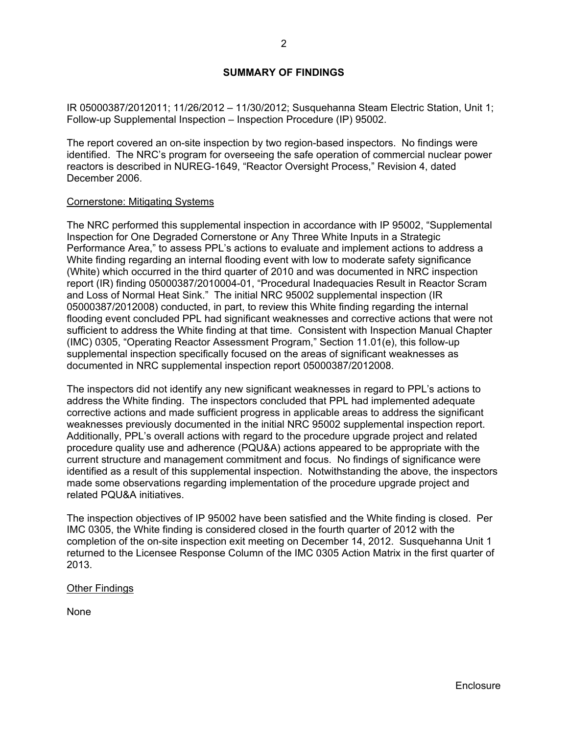### **SUMMARY OF FINDINGS**

IR 05000387/2012011; 11/26/2012 – 11/30/2012; Susquehanna Steam Electric Station, Unit 1; Follow-up Supplemental Inspection – Inspection Procedure (IP) 95002.

The report covered an on-site inspection by two region-based inspectors. No findings were identified. The NRC's program for overseeing the safe operation of commercial nuclear power reactors is described in NUREG-1649, "Reactor Oversight Process," Revision 4, dated December 2006.

#### Cornerstone: Mitigating Systems

The NRC performed this supplemental inspection in accordance with IP 95002, "Supplemental Inspection for One Degraded Cornerstone or Any Three White Inputs in a Strategic Performance Area," to assess PPL's actions to evaluate and implement actions to address a White finding regarding an internal flooding event with low to moderate safety significance (White) which occurred in the third quarter of 2010 and was documented in NRC inspection report (IR) finding 05000387/2010004-01, "Procedural Inadequacies Result in Reactor Scram and Loss of Normal Heat Sink." The initial NRC 95002 supplemental inspection (IR 05000387/2012008) conducted, in part, to review this White finding regarding the internal flooding event concluded PPL had significant weaknesses and corrective actions that were not sufficient to address the White finding at that time. Consistent with Inspection Manual Chapter (IMC) 0305, "Operating Reactor Assessment Program," Section 11.01(e), this follow-up supplemental inspection specifically focused on the areas of significant weaknesses as documented in NRC supplemental inspection report 05000387/2012008.

The inspectors did not identify any new significant weaknesses in regard to PPL's actions to address the White finding. The inspectors concluded that PPL had implemented adequate corrective actions and made sufficient progress in applicable areas to address the significant weaknesses previously documented in the initial NRC 95002 supplemental inspection report. Additionally, PPL's overall actions with regard to the procedure upgrade project and related procedure quality use and adherence (PQU&A) actions appeared to be appropriate with the current structure and management commitment and focus. No findings of significance were identified as a result of this supplemental inspection. Notwithstanding the above, the inspectors made some observations regarding implementation of the procedure upgrade project and related PQU&A initiatives.

The inspection objectives of IP 95002 have been satisfied and the White finding is closed. Per IMC 0305, the White finding is considered closed in the fourth quarter of 2012 with the completion of the on-site inspection exit meeting on December 14, 2012. Susquehanna Unit 1 returned to the Licensee Response Column of the IMC 0305 Action Matrix in the first quarter of 2013.

#### Other Findings

None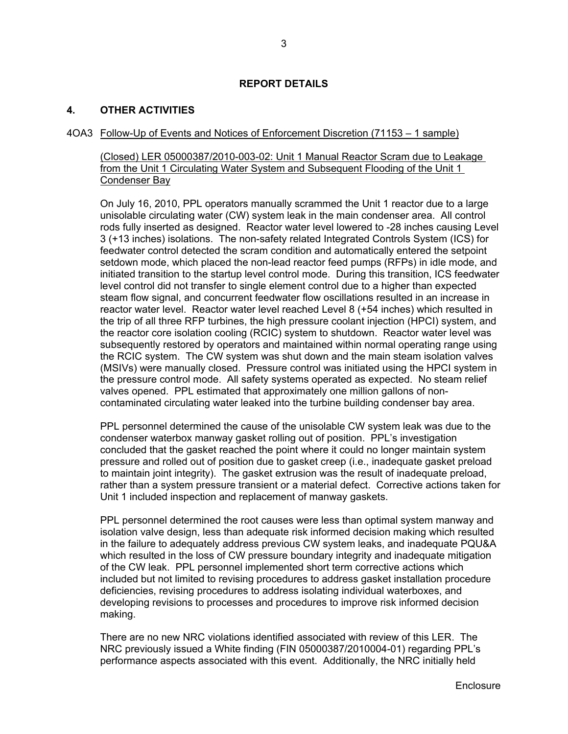### **REPORT DETAILS**

### **4. OTHER ACTIVITIES**

### 4OA3 Follow-Up of Events and Notices of Enforcement Discretion (71153 – 1 sample)

(Closed) LER 05000387/2010-003-02: Unit 1 Manual Reactor Scram due to Leakage from the Unit 1 Circulating Water System and Subsequent Flooding of the Unit 1 Condenser Bay

On July 16, 2010, PPL operators manually scrammed the Unit 1 reactor due to a large unisolable circulating water (CW) system leak in the main condenser area. All control rods fully inserted as designed. Reactor water level lowered to -28 inches causing Level 3 (+13 inches) isolations. The non-safety related Integrated Controls System (ICS) for feedwater control detected the scram condition and automatically entered the setpoint setdown mode, which placed the non-lead reactor feed pumps (RFPs) in idle mode, and initiated transition to the startup level control mode. During this transition, ICS feedwater level control did not transfer to single element control due to a higher than expected steam flow signal, and concurrent feedwater flow oscillations resulted in an increase in reactor water level. Reactor water level reached Level 8 (+54 inches) which resulted in the trip of all three RFP turbines, the high pressure coolant injection (HPCI) system, and the reactor core isolation cooling (RCIC) system to shutdown. Reactor water level was subsequently restored by operators and maintained within normal operating range using the RCIC system. The CW system was shut down and the main steam isolation valves (MSIVs) were manually closed. Pressure control was initiated using the HPCI system in the pressure control mode. All safety systems operated as expected. No steam relief valves opened. PPL estimated that approximately one million gallons of noncontaminated circulating water leaked into the turbine building condenser bay area.

PPL personnel determined the cause of the unisolable CW system leak was due to the condenser waterbox manway gasket rolling out of position. PPL's investigation concluded that the gasket reached the point where it could no longer maintain system pressure and rolled out of position due to gasket creep (i.e., inadequate gasket preload to maintain joint integrity). The gasket extrusion was the result of inadequate preload, rather than a system pressure transient or a material defect. Corrective actions taken for Unit 1 included inspection and replacement of manway gaskets.

PPL personnel determined the root causes were less than optimal system manway and isolation valve design, less than adequate risk informed decision making which resulted in the failure to adequately address previous CW system leaks, and inadequate PQU&A which resulted in the loss of CW pressure boundary integrity and inadequate mitigation of the CW leak. PPL personnel implemented short term corrective actions which included but not limited to revising procedures to address gasket installation procedure deficiencies, revising procedures to address isolating individual waterboxes, and developing revisions to processes and procedures to improve risk informed decision making.

There are no new NRC violations identified associated with review of this LER. The NRC previously issued a White finding (FIN 05000387/2010004-01) regarding PPL's performance aspects associated with this event. Additionally, the NRC initially held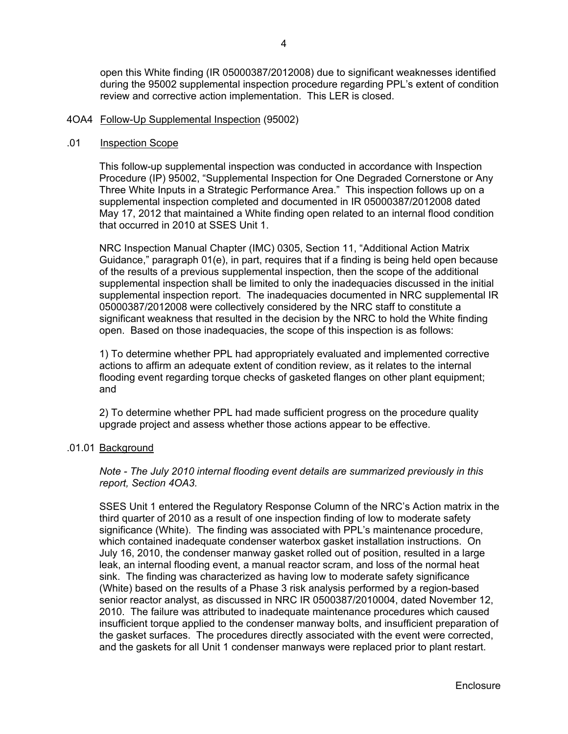open this White finding (IR 05000387/2012008) due to significant weaknesses identified during the 95002 supplemental inspection procedure regarding PPL's extent of condition review and corrective action implementation. This LER is closed.

#### 4OA4 Follow-Up Supplemental Inspection (95002)

#### .01 Inspection Scope

This follow-up supplemental inspection was conducted in accordance with Inspection Procedure (IP) 95002, "Supplemental Inspection for One Degraded Cornerstone or Any Three White Inputs in a Strategic Performance Area." This inspection follows up on a supplemental inspection completed and documented in IR 05000387/2012008 dated May 17, 2012 that maintained a White finding open related to an internal flood condition that occurred in 2010 at SSES Unit 1.

NRC Inspection Manual Chapter (IMC) 0305, Section 11, "Additional Action Matrix Guidance," paragraph 01(e), in part, requires that if a finding is being held open because of the results of a previous supplemental inspection, then the scope of the additional supplemental inspection shall be limited to only the inadequacies discussed in the initial supplemental inspection report. The inadequacies documented in NRC supplemental IR 05000387/2012008 were collectively considered by the NRC staff to constitute a significant weakness that resulted in the decision by the NRC to hold the White finding open. Based on those inadequacies, the scope of this inspection is as follows:

1) To determine whether PPL had appropriately evaluated and implemented corrective actions to affirm an adequate extent of condition review, as it relates to the internal flooding event regarding torque checks of gasketed flanges on other plant equipment; and

2) To determine whether PPL had made sufficient progress on the procedure quality upgrade project and assess whether those actions appear to be effective.

#### .01.01 Background

*Note - The July 2010 internal flooding event details are summarized previously in this report, Section 4OA3.* 

SSES Unit 1 entered the Regulatory Response Column of the NRC's Action matrix in the third quarter of 2010 as a result of one inspection finding of low to moderate safety significance (White). The finding was associated with PPL's maintenance procedure, which contained inadequate condenser waterbox gasket installation instructions. On July 16, 2010, the condenser manway gasket rolled out of position, resulted in a large leak, an internal flooding event, a manual reactor scram, and loss of the normal heat sink. The finding was characterized as having low to moderate safety significance (White) based on the results of a Phase 3 risk analysis performed by a region-based senior reactor analyst, as discussed in NRC IR 0500387/2010004, dated November 12, 2010. The failure was attributed to inadequate maintenance procedures which caused insufficient torque applied to the condenser manway bolts, and insufficient preparation of the gasket surfaces. The procedures directly associated with the event were corrected, and the gaskets for all Unit 1 condenser manways were replaced prior to plant restart.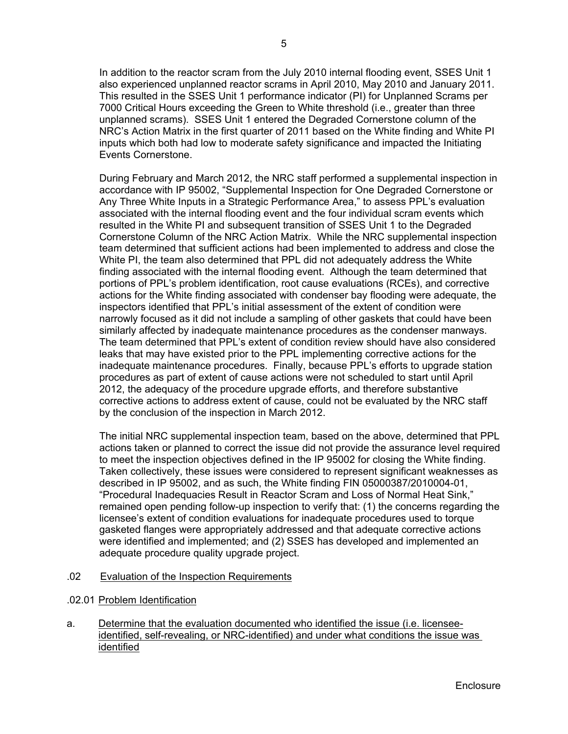In addition to the reactor scram from the July 2010 internal flooding event, SSES Unit 1 also experienced unplanned reactor scrams in April 2010, May 2010 and January 2011. This resulted in the SSES Unit 1 performance indicator (PI) for Unplanned Scrams per 7000 Critical Hours exceeding the Green to White threshold (i.e., greater than three unplanned scrams). SSES Unit 1 entered the Degraded Cornerstone column of the NRC's Action Matrix in the first quarter of 2011 based on the White finding and White PI inputs which both had low to moderate safety significance and impacted the Initiating Events Cornerstone.

During February and March 2012, the NRC staff performed a supplemental inspection in accordance with IP 95002, "Supplemental Inspection for One Degraded Cornerstone or Any Three White Inputs in a Strategic Performance Area," to assess PPL's evaluation associated with the internal flooding event and the four individual scram events which resulted in the White PI and subsequent transition of SSES Unit 1 to the Degraded Cornerstone Column of the NRC Action Matrix. While the NRC supplemental inspection team determined that sufficient actions had been implemented to address and close the White PI, the team also determined that PPL did not adequately address the White finding associated with the internal flooding event. Although the team determined that portions of PPL's problem identification, root cause evaluations (RCEs), and corrective actions for the White finding associated with condenser bay flooding were adequate, the inspectors identified that PPL's initial assessment of the extent of condition were narrowly focused as it did not include a sampling of other gaskets that could have been similarly affected by inadequate maintenance procedures as the condenser manways. The team determined that PPL's extent of condition review should have also considered leaks that may have existed prior to the PPL implementing corrective actions for the inadequate maintenance procedures. Finally, because PPL's efforts to upgrade station procedures as part of extent of cause actions were not scheduled to start until April 2012, the adequacy of the procedure upgrade efforts, and therefore substantive corrective actions to address extent of cause, could not be evaluated by the NRC staff by the conclusion of the inspection in March 2012.

The initial NRC supplemental inspection team, based on the above, determined that PPL actions taken or planned to correct the issue did not provide the assurance level required to meet the inspection objectives defined in the IP 95002 for closing the White finding. Taken collectively, these issues were considered to represent significant weaknesses as described in IP 95002, and as such, the White finding FIN 05000387/2010004-01, "Procedural Inadequacies Result in Reactor Scram and Loss of Normal Heat Sink," remained open pending follow-up inspection to verify that: (1) the concerns regarding the licensee's extent of condition evaluations for inadequate procedures used to torque gasketed flanges were appropriately addressed and that adequate corrective actions were identified and implemented; and (2) SSES has developed and implemented an adequate procedure quality upgrade project.

- .02 Evaluation of the Inspection Requirements
- .02.01 Problem Identification
- a. Determine that the evaluation documented who identified the issue (i.e. licenseeidentified, self-revealing, or NRC-identified) and under what conditions the issue was identified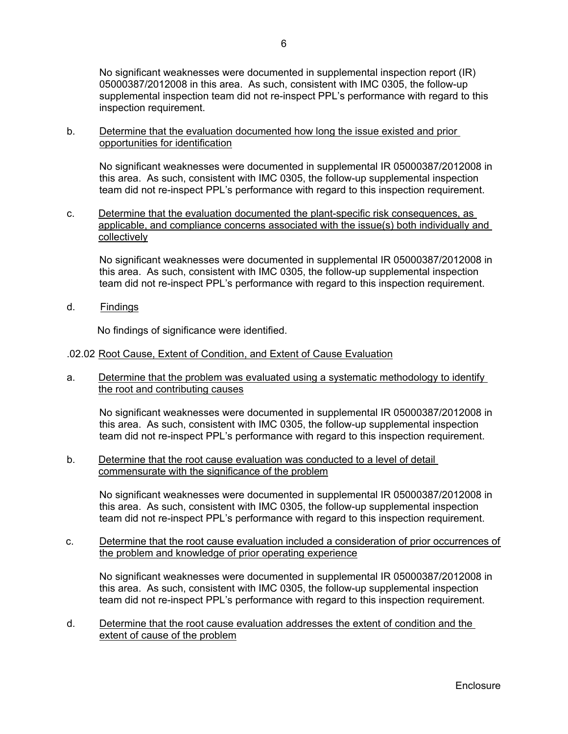No significant weaknesses were documented in supplemental inspection report (IR) 05000387/2012008 in this area. As such, consistent with IMC 0305, the follow-up supplemental inspection team did not re-inspect PPL's performance with regard to this inspection requirement.

### b. Determine that the evaluation documented how long the issue existed and prior opportunities for identification

No significant weaknesses were documented in supplemental IR 05000387/2012008 in this area. As such, consistent with IMC 0305, the follow-up supplemental inspection team did not re-inspect PPL's performance with regard to this inspection requirement.

c. Determine that the evaluation documented the plant-specific risk consequences, as applicable, and compliance concerns associated with the issue(s) both individually and collectively

No significant weaknesses were documented in supplemental IR 05000387/2012008 in this area. As such, consistent with IMC 0305, the follow-up supplemental inspection team did not re-inspect PPL's performance with regard to this inspection requirement.

d. Findings

No findings of significance were identified.

- .02.02 Root Cause, Extent of Condition, and Extent of Cause Evaluation
- a. Determine that the problem was evaluated using a systematic methodology to identify the root and contributing causes

No significant weaknesses were documented in supplemental IR 05000387/2012008 in this area. As such, consistent with IMC 0305, the follow-up supplemental inspection team did not re-inspect PPL's performance with regard to this inspection requirement.

b. Determine that the root cause evaluation was conducted to a level of detail commensurate with the significance of the problem

No significant weaknesses were documented in supplemental IR 05000387/2012008 in this area. As such, consistent with IMC 0305, the follow-up supplemental inspection team did not re-inspect PPL's performance with regard to this inspection requirement.

c. Determine that the root cause evaluation included a consideration of prior occurrences of the problem and knowledge of prior operating experience

No significant weaknesses were documented in supplemental IR 05000387/2012008 in this area. As such, consistent with IMC 0305, the follow-up supplemental inspection team did not re-inspect PPL's performance with regard to this inspection requirement.

d. Determine that the root cause evaluation addresses the extent of condition and the extent of cause of the problem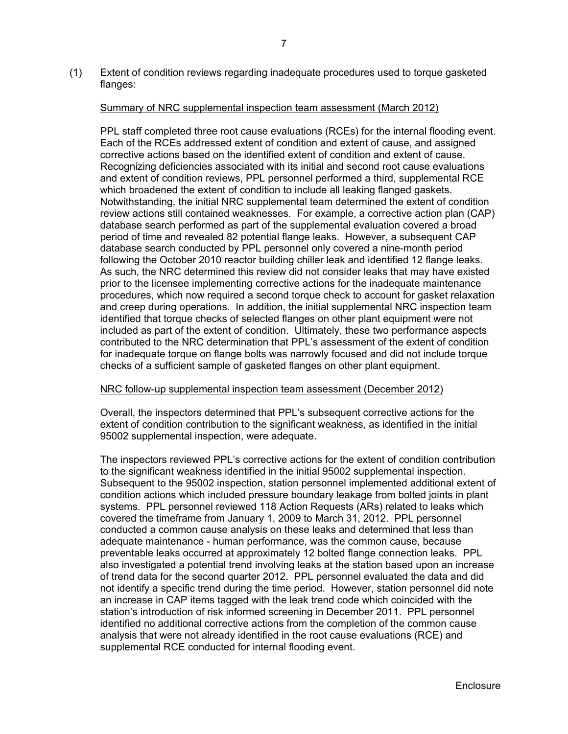(1) Extent of condition reviews regarding inadequate procedures used to torque gasketed flanges:

#### Summary of NRC supplemental inspection team assessment (March 2012)

 PPL staff completed three root cause evaluations (RCEs) for the internal flooding event. Each of the RCEs addressed extent of condition and extent of cause, and assigned corrective actions based on the identified extent of condition and extent of cause. Recognizing deficiencies associated with its initial and second root cause evaluations and extent of condition reviews, PPL personnel performed a third, supplemental RCE which broadened the extent of condition to include all leaking flanged gaskets. Notwithstanding, the initial NRC supplemental team determined the extent of condition review actions still contained weaknesses. For example, a corrective action plan (CAP) database search performed as part of the supplemental evaluation covered a broad period of time and revealed 82 potential flange leaks. However, a subsequent CAP database search conducted by PPL personnel only covered a nine-month period following the October 2010 reactor building chiller leak and identified 12 flange leaks. As such, the NRC determined this review did not consider leaks that may have existed prior to the licensee implementing corrective actions for the inadequate maintenance procedures, which now required a second torque check to account for gasket relaxation and creep during operations. In addition, the initial supplemental NRC inspection team identified that torque checks of selected flanges on other plant equipment were not included as part of the extent of condition. Ultimately, these two performance aspects contributed to the NRC determination that PPL's assessment of the extent of condition for inadequate torque on flange bolts was narrowly focused and did not include torque checks of a sufficient sample of gasketed flanges on other plant equipment.

### NRC follow-up supplemental inspection team assessment (December 2012)

 Overall, the inspectors determined that PPL's subsequent corrective actions for the extent of condition contribution to the significant weakness, as identified in the initial 95002 supplemental inspection, were adequate.

 The inspectors reviewed PPL's corrective actions for the extent of condition contribution to the significant weakness identified in the initial 95002 supplemental inspection. Subsequent to the 95002 inspection, station personnel implemented additional extent of condition actions which included pressure boundary leakage from bolted joints in plant systems. PPL personnel reviewed 118 Action Requests (ARs) related to leaks which covered the timeframe from January 1, 2009 to March 31, 2012. PPL personnel conducted a common cause analysis on these leaks and determined that less than adequate maintenance - human performance, was the common cause, because preventable leaks occurred at approximately 12 bolted flange connection leaks. PPL also investigated a potential trend involving leaks at the station based upon an increase of trend data for the second quarter 2012. PPL personnel evaluated the data and did not identify a specific trend during the time period. However, station personnel did note an increase in CAP items tagged with the leak trend code which coincided with the station's introduction of risk informed screening in December 2011. PPL personnel identified no additional corrective actions from the completion of the common cause analysis that were not already identified in the root cause evaluations (RCE) and supplemental RCE conducted for internal flooding event.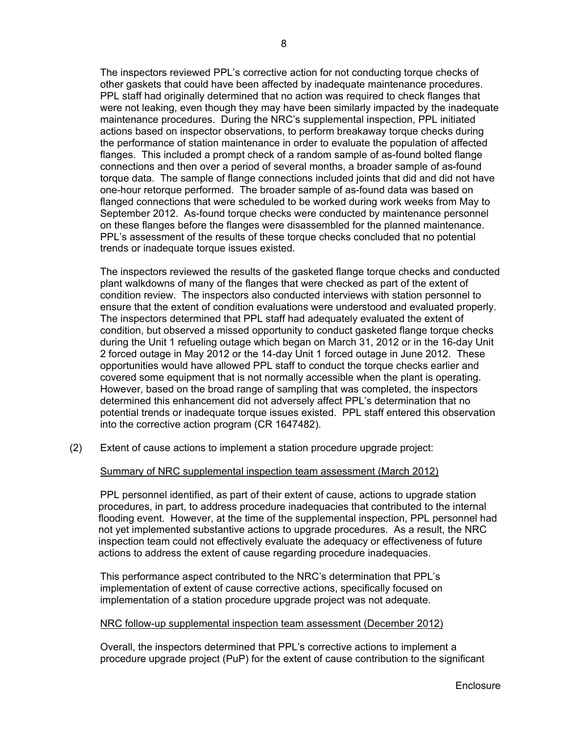The inspectors reviewed PPL's corrective action for not conducting torque checks of other gaskets that could have been affected by inadequate maintenance procedures. PPL staff had originally determined that no action was required to check flanges that were not leaking, even though they may have been similarly impacted by the inadequate maintenance procedures. During the NRC's supplemental inspection, PPL initiated actions based on inspector observations, to perform breakaway torque checks during the performance of station maintenance in order to evaluate the population of affected flanges. This included a prompt check of a random sample of as-found bolted flange connections and then over a period of several months, a broader sample of as-found torque data. The sample of flange connections included joints that did and did not have one-hour retorque performed. The broader sample of as-found data was based on flanged connections that were scheduled to be worked during work weeks from May to September 2012. As-found torque checks were conducted by maintenance personnel on these flanges before the flanges were disassembled for the planned maintenance. PPL's assessment of the results of these torque checks concluded that no potential trends or inadequate torque issues existed.

 The inspectors reviewed the results of the gasketed flange torque checks and conducted plant walkdowns of many of the flanges that were checked as part of the extent of condition review. The inspectors also conducted interviews with station personnel to ensure that the extent of condition evaluations were understood and evaluated properly. The inspectors determined that PPL staff had adequately evaluated the extent of condition, but observed a missed opportunity to conduct gasketed flange torque checks during the Unit 1 refueling outage which began on March 31, 2012 or in the 16-day Unit 2 forced outage in May 2012 or the 14-day Unit 1 forced outage in June 2012. These opportunities would have allowed PPL staff to conduct the torque checks earlier and covered some equipment that is not normally accessible when the plant is operating. However, based on the broad range of sampling that was completed, the inspectors determined this enhancement did not adversely affect PPL's determination that no potential trends or inadequate torque issues existed. PPL staff entered this observation into the corrective action program (CR 1647482).

(2) Extent of cause actions to implement a station procedure upgrade project:

### Summary of NRC supplemental inspection team assessment (March 2012)

PPL personnel identified, as part of their extent of cause, actions to upgrade station procedures, in part, to address procedure inadequacies that contributed to the internal flooding event. However, at the time of the supplemental inspection, PPL personnel had not yet implemented substantive actions to upgrade procedures. As a result, the NRC inspection team could not effectively evaluate the adequacy or effectiveness of future actions to address the extent of cause regarding procedure inadequacies.

 This performance aspect contributed to the NRC's determination that PPL's implementation of extent of cause corrective actions, specifically focused on implementation of a station procedure upgrade project was not adequate.

### NRC follow-up supplemental inspection team assessment (December 2012)

Overall, the inspectors determined that PPL's corrective actions to implement a procedure upgrade project (PuP) for the extent of cause contribution to the significant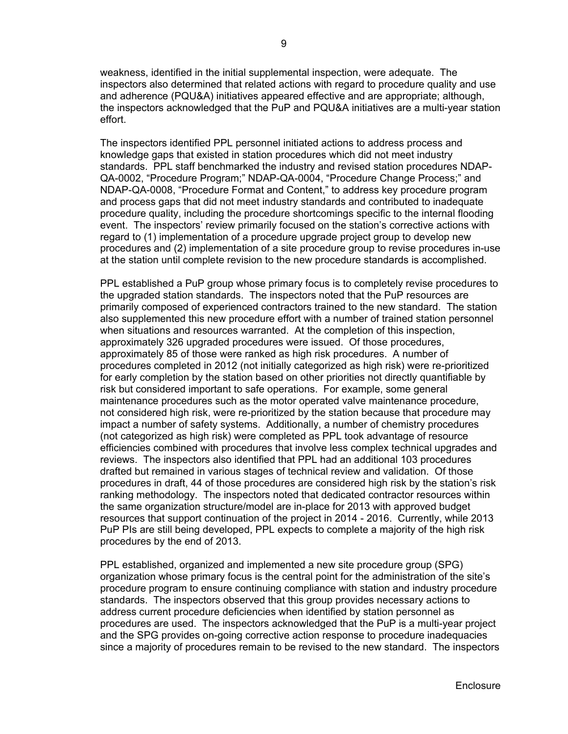weakness, identified in the initial supplemental inspection, were adequate. The inspectors also determined that related actions with regard to procedure quality and use and adherence (PQU&A) initiatives appeared effective and are appropriate; although, the inspectors acknowledged that the PuP and PQU&A initiatives are a multi-year station effort.

 The inspectors identified PPL personnel initiated actions to address process and knowledge gaps that existed in station procedures which did not meet industry standards. PPL staff benchmarked the industry and revised station procedures NDAP-QA-0002, "Procedure Program;" NDAP-QA-0004, "Procedure Change Process;" and NDAP-QA-0008, "Procedure Format and Content," to address key procedure program and process gaps that did not meet industry standards and contributed to inadequate procedure quality, including the procedure shortcomings specific to the internal flooding event. The inspectors' review primarily focused on the station's corrective actions with regard to (1) implementation of a procedure upgrade project group to develop new procedures and (2) implementation of a site procedure group to revise procedures in-use at the station until complete revision to the new procedure standards is accomplished.

PPL established a PuP group whose primary focus is to completely revise procedures to the upgraded station standards. The inspectors noted that the PuP resources are primarily composed of experienced contractors trained to the new standard. The station also supplemented this new procedure effort with a number of trained station personnel when situations and resources warranted. At the completion of this inspection, approximately 326 upgraded procedures were issued. Of those procedures, approximately 85 of those were ranked as high risk procedures. A number of procedures completed in 2012 (not initially categorized as high risk) were re-prioritized for early completion by the station based on other priorities not directly quantifiable by risk but considered important to safe operations. For example, some general maintenance procedures such as the motor operated valve maintenance procedure, not considered high risk, were re-prioritized by the station because that procedure may impact a number of safety systems. Additionally, a number of chemistry procedures (not categorized as high risk) were completed as PPL took advantage of resource efficiencies combined with procedures that involve less complex technical upgrades and reviews. The inspectors also identified that PPL had an additional 103 procedures drafted but remained in various stages of technical review and validation. Of those procedures in draft, 44 of those procedures are considered high risk by the station's risk ranking methodology. The inspectors noted that dedicated contractor resources within the same organization structure/model are in-place for 2013 with approved budget resources that support continuation of the project in 2014 - 2016. Currently, while 2013 PuP PIs are still being developed, PPL expects to complete a majority of the high risk procedures by the end of 2013.

 PPL established, organized and implemented a new site procedure group (SPG) organization whose primary focus is the central point for the administration of the site's procedure program to ensure continuing compliance with station and industry procedure standards. The inspectors observed that this group provides necessary actions to address current procedure deficiencies when identified by station personnel as procedures are used. The inspectors acknowledged that the PuP is a multi-year project and the SPG provides on-going corrective action response to procedure inadequacies since a majority of procedures remain to be revised to the new standard. The inspectors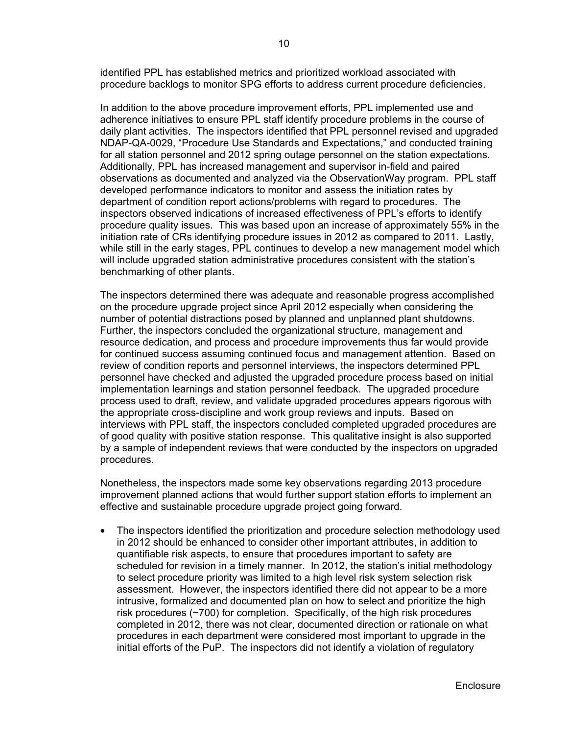identified PPL has established metrics and prioritized workload associated with procedure backlogs to monitor SPG efforts to address current procedure deficiencies.

 In addition to the above procedure improvement efforts, PPL implemented use and adherence initiatives to ensure PPL staff identify procedure problems in the course of daily plant activities. The inspectors identified that PPL personnel revised and upgraded NDAP-QA-0029, "Procedure Use Standards and Expectations," and conducted training for all station personnel and 2012 spring outage personnel on the station expectations. Additionally, PPL has increased management and supervisor in-field and paired observations as documented and analyzed via the ObservationWay program. PPL staff developed performance indicators to monitor and assess the initiation rates by department of condition report actions/problems with regard to procedures. The inspectors observed indications of increased effectiveness of PPL's efforts to identify procedure quality issues. This was based upon an increase of approximately 55% in the initiation rate of CRs identifying procedure issues in 2012 as compared to 2011. Lastly, while still in the early stages, PPL continues to develop a new management model which will include upgraded station administrative procedures consistent with the station's benchmarking of other plants.

 The inspectors determined there was adequate and reasonable progress accomplished on the procedure upgrade project since April 2012 especially when considering the number of potential distractions posed by planned and unplanned plant shutdowns. Further, the inspectors concluded the organizational structure, management and resource dedication, and process and procedure improvements thus far would provide for continued success assuming continued focus and management attention. Based on review of condition reports and personnel interviews, the inspectors determined PPL personnel have checked and adjusted the upgraded procedure process based on initial implementation learnings and station personnel feedback. The upgraded procedure process used to draft, review, and validate upgraded procedures appears rigorous with the appropriate cross-discipline and work group reviews and inputs. Based on interviews with PPL staff, the inspectors concluded completed upgraded procedures are of good quality with positive station response. This qualitative insight is also supported by a sample of independent reviews that were conducted by the inspectors on upgraded procedures.

 Nonetheless, the inspectors made some key observations regarding 2013 procedure improvement planned actions that would further support station efforts to implement an effective and sustainable procedure upgrade project going forward.

 The inspectors identified the prioritization and procedure selection methodology used in 2012 should be enhanced to consider other important attributes, in addition to quantifiable risk aspects, to ensure that procedures important to safety are scheduled for revision in a timely manner. In 2012, the station's initial methodology to select procedure priority was limited to a high level risk system selection risk assessment. However, the inspectors identified there did not appear to be a more intrusive, formalized and documented plan on how to select and prioritize the high risk procedures (~700) for completion. Specifically, of the high risk procedures completed in 2012, there was not clear, documented direction or rationale on what procedures in each department were considered most important to upgrade in the initial efforts of the PuP. The inspectors did not identify a violation of regulatory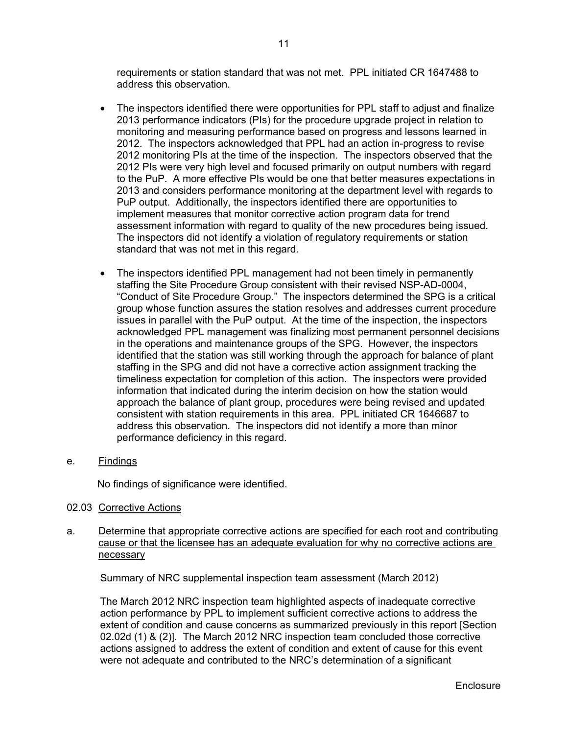requirements or station standard that was not met. PPL initiated CR 1647488 to address this observation.

- The inspectors identified there were opportunities for PPL staff to adjust and finalize 2013 performance indicators (PIs) for the procedure upgrade project in relation to monitoring and measuring performance based on progress and lessons learned in 2012. The inspectors acknowledged that PPL had an action in-progress to revise 2012 monitoring PIs at the time of the inspection. The inspectors observed that the 2012 PIs were very high level and focused primarily on output numbers with regard to the PuP. A more effective PIs would be one that better measures expectations in 2013 and considers performance monitoring at the department level with regards to PuP output. Additionally, the inspectors identified there are opportunities to implement measures that monitor corrective action program data for trend assessment information with regard to quality of the new procedures being issued. The inspectors did not identify a violation of regulatory requirements or station standard that was not met in this regard.
- The inspectors identified PPL management had not been timely in permanently staffing the Site Procedure Group consistent with their revised NSP-AD-0004, "Conduct of Site Procedure Group." The inspectors determined the SPG is a critical group whose function assures the station resolves and addresses current procedure issues in parallel with the PuP output. At the time of the inspection, the inspectors acknowledged PPL management was finalizing most permanent personnel decisions in the operations and maintenance groups of the SPG. However, the inspectors identified that the station was still working through the approach for balance of plant staffing in the SPG and did not have a corrective action assignment tracking the timeliness expectation for completion of this action. The inspectors were provided information that indicated during the interim decision on how the station would approach the balance of plant group, procedures were being revised and updated consistent with station requirements in this area. PPL initiated CR 1646687 to address this observation. The inspectors did not identify a more than minor performance deficiency in this regard.
- e. Findings

No findings of significance were identified.

- 02.03 Corrective Actions
- a. Determine that appropriate corrective actions are specified for each root and contributing cause or that the licensee has an adequate evaluation for why no corrective actions are necessary

#### Summary of NRC supplemental inspection team assessment (March 2012)

The March 2012 NRC inspection team highlighted aspects of inadequate corrective action performance by PPL to implement sufficient corrective actions to address the extent of condition and cause concerns as summarized previously in this report [Section 02.02d (1) & (2)]. The March 2012 NRC inspection team concluded those corrective actions assigned to address the extent of condition and extent of cause for this event were not adequate and contributed to the NRC's determination of a significant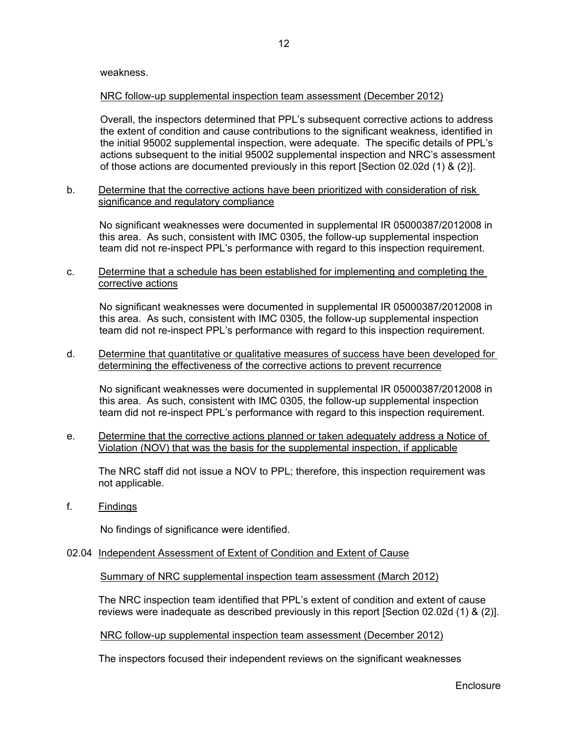### NRC follow-up supplemental inspection team assessment (December 2012)

 Overall, the inspectors determined that PPL's subsequent corrective actions to address the extent of condition and cause contributions to the significant weakness, identified in the initial 95002 supplemental inspection, were adequate. The specific details of PPL's actions subsequent to the initial 95002 supplemental inspection and NRC's assessment of those actions are documented previously in this report [Section 02.02d (1) & (2)].

b. Determine that the corrective actions have been prioritized with consideration of risk significance and regulatory compliance

No significant weaknesses were documented in supplemental IR 05000387/2012008 in this area. As such, consistent with IMC 0305, the follow-up supplemental inspection team did not re-inspect PPL's performance with regard to this inspection requirement.

c. Determine that a schedule has been established for implementing and completing the corrective actions

No significant weaknesses were documented in supplemental IR 05000387/2012008 in this area. As such, consistent with IMC 0305, the follow-up supplemental inspection team did not re-inspect PPL's performance with regard to this inspection requirement.

d. Determine that quantitative or qualitative measures of success have been developed for determining the effectiveness of the corrective actions to prevent recurrence

No significant weaknesses were documented in supplemental IR 05000387/2012008 in this area. As such, consistent with IMC 0305, the follow-up supplemental inspection team did not re-inspect PPL's performance with regard to this inspection requirement.

e. Determine that the corrective actions planned or taken adequately address a Notice of Violation (NOV) that was the basis for the supplemental inspection, if applicable

 The NRC staff did not issue a NOV to PPL; therefore, this inspection requirement was not applicable.

f. Findings

No findings of significance were identified.

02.04 Independent Assessment of Extent of Condition and Extent of Cause

Summary of NRC supplemental inspection team assessment (March 2012)

 The NRC inspection team identified that PPL's extent of condition and extent of cause reviews were inadequate as described previously in this report [Section 02.02d (1) & (2)].

NRC follow-up supplemental inspection team assessment (December 2012)

The inspectors focused their independent reviews on the significant weaknesses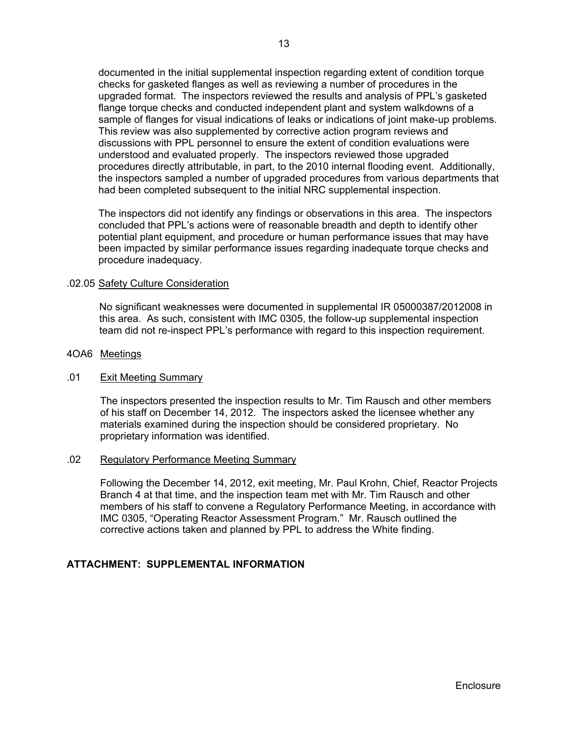documented in the initial supplemental inspection regarding extent of condition torque checks for gasketed flanges as well as reviewing a number of procedures in the upgraded format. The inspectors reviewed the results and analysis of PPL's gasketed flange torque checks and conducted independent plant and system walkdowns of a sample of flanges for visual indications of leaks or indications of joint make-up problems. This review was also supplemented by corrective action program reviews and discussions with PPL personnel to ensure the extent of condition evaluations were understood and evaluated properly. The inspectors reviewed those upgraded procedures directly attributable, in part, to the 2010 internal flooding event. Additionally, the inspectors sampled a number of upgraded procedures from various departments that had been completed subsequent to the initial NRC supplemental inspection.

The inspectors did not identify any findings or observations in this area. The inspectors concluded that PPL's actions were of reasonable breadth and depth to identify other potential plant equipment, and procedure or human performance issues that may have been impacted by similar performance issues regarding inadequate torque checks and procedure inadequacy.

#### .02.05 Safety Culture Consideration

No significant weaknesses were documented in supplemental IR 05000387/2012008 in this area. As such, consistent with IMC 0305, the follow-up supplemental inspection team did not re-inspect PPL's performance with regard to this inspection requirement.

#### 4OA6 Meetings

#### .01 Exit Meeting Summary

The inspectors presented the inspection results to Mr. Tim Rausch and other members of his staff on December 14, 2012. The inspectors asked the licensee whether any materials examined during the inspection should be considered proprietary. No proprietary information was identified.

#### .02 Regulatory Performance Meeting Summary

Following the December 14, 2012, exit meeting, Mr. Paul Krohn, Chief, Reactor Projects Branch 4 at that time, and the inspection team met with Mr. Tim Rausch and other members of his staff to convene a Regulatory Performance Meeting, in accordance with IMC 0305, "Operating Reactor Assessment Program." Mr. Rausch outlined the corrective actions taken and planned by PPL to address the White finding.

### **ATTACHMENT: SUPPLEMENTAL INFORMATION**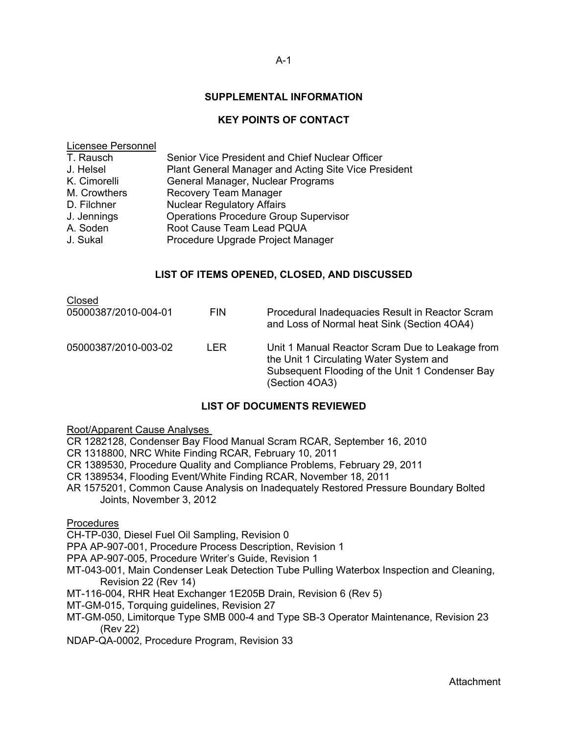#### A-1

### **SUPPLEMENTAL INFORMATION**

### **KEY POINTS OF CONTACT**

#### Licensee Personnel

| Senior Vice President and Chief Nuclear Officer      |
|------------------------------------------------------|
| Plant General Manager and Acting Site Vice President |
| General Manager, Nuclear Programs                    |
| Recovery Team Manager                                |
| <b>Nuclear Regulatory Affairs</b>                    |
| <b>Operations Procedure Group Supervisor</b>         |
| Root Cause Team Lead PQUA                            |
| Procedure Upgrade Project Manager                    |
|                                                      |

### **LIST OF ITEMS OPENED, CLOSED, AND DISCUSSED**

| Closed<br>05000387/2010-004-01 | <b>FIN</b> | Procedural Inadequacies Result in Reactor Scram<br>and Loss of Normal heat Sink (Section 4OA4)                                                                  |
|--------------------------------|------------|-----------------------------------------------------------------------------------------------------------------------------------------------------------------|
| 05000387/2010-003-02           | I FR.      | Unit 1 Manual Reactor Scram Due to Leakage from<br>the Unit 1 Circulating Water System and<br>Subsequent Flooding of the Unit 1 Condenser Bay<br>(Section 4OA3) |

#### **LIST OF DOCUMENTS REVIEWED**

Root/Apparent Cause Analyses

CR 1282128, Condenser Bay Flood Manual Scram RCAR, September 16, 2010

- CR 1318800, NRC White Finding RCAR, February 10, 2011
- CR 1389530, Procedure Quality and Compliance Problems, February 29, 2011
- CR 1389534, Flooding Event/White Finding RCAR, November 18, 2011
- AR 1575201, Common Cause Analysis on Inadequately Restored Pressure Boundary Bolted Joints, November 3, 2012

#### **Procedures**

CH-TP-030, Diesel Fuel Oil Sampling, Revision 0

PPA AP-907-001, Procedure Process Description, Revision 1

- PPA AP-907-005, Procedure Writer's Guide, Revision 1
- MT-043-001, Main Condenser Leak Detection Tube Pulling Waterbox Inspection and Cleaning, Revision 22 (Rev 14)
- MT-116-004, RHR Heat Exchanger 1E205B Drain, Revision 6 (Rev 5)
- MT-GM-015, Torquing guidelines, Revision 27
- MT-GM-050, Limitorque Type SMB 000-4 and Type SB-3 Operator Maintenance, Revision 23 (Rev 22)
- NDAP-QA-0002, Procedure Program, Revision 33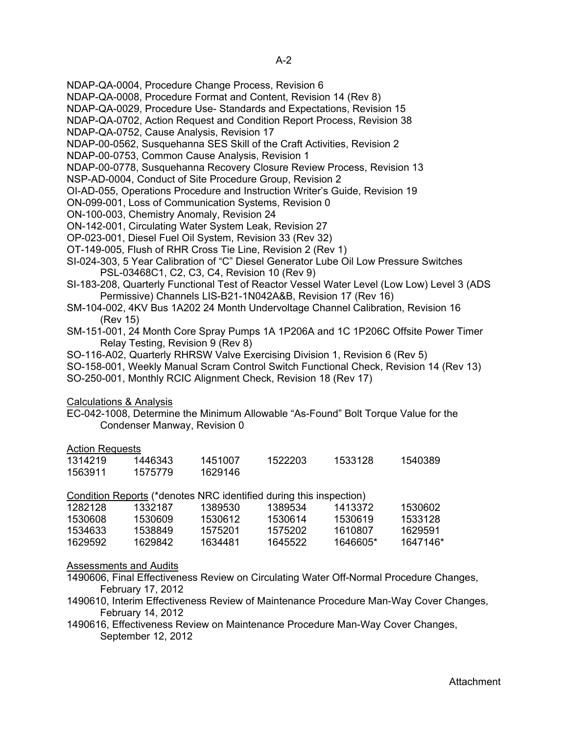- NDAP-QA-0004, Procedure Change Process, Revision 6
- NDAP-QA-0008, Procedure Format and Content, Revision 14 (Rev 8)
- NDAP-QA-0029, Procedure Use- Standards and Expectations, Revision 15
- NDAP-QA-0702, Action Request and Condition Report Process, Revision 38
- NDAP-QA-0752, Cause Analysis, Revision 17
- NDAP-00-0562, Susquehanna SES Skill of the Craft Activities, Revision 2
- NDAP-00-0753, Common Cause Analysis, Revision 1
- NDAP-00-0778, Susquehanna Recovery Closure Review Process, Revision 13
- NSP-AD-0004, Conduct of Site Procedure Group, Revision 2
- OI-AD-055, Operations Procedure and Instruction Writer's Guide, Revision 19
- ON-099-001, Loss of Communication Systems, Revision 0
- ON-100-003, Chemistry Anomaly, Revision 24
- ON-142-001, Circulating Water System Leak, Revision 27
- OP-023-001, Diesel Fuel Oil System, Revision 33 (Rev 32)
- OT-149-005, Flush of RHR Cross Tie Line, Revision 2 (Rev 1)
- SI-024-303, 5 Year Calibration of "C" Diesel Generator Lube Oil Low Pressure Switches PSL-03468C1, C2, C3, C4, Revision 10 (Rev 9)
- SI-183-208, Quarterly Functional Test of Reactor Vessel Water Level (Low Low) Level 3 (ADS Permissive) Channels LIS-B21-1N042A&B, Revision 17 (Rev 16)
- SM-104-002, 4KV Bus 1A202 24 Month Undervoltage Channel Calibration, Revision 16 (Rev 15)
- SM-151-001, 24 Month Core Spray Pumps 1A 1P206A and 1C 1P206C Offsite Power Timer Relay Testing, Revision 9 (Rev 8)
- SO-116-A02, Quarterly RHRSW Valve Exercising Division 1, Revision 6 (Rev 5)
- SO-158-001, Weekly Manual Scram Control Switch Functional Check, Revision 14 (Rev 13) SO-250-001, Monthly RCIC Alignment Check, Revision 18 (Rev 17)

### Calculations & Analysis

EC-042-1008, Determine the Minimum Allowable "As-Found" Bolt Torque Value for the Condenser Manway, Revision 0

### Action Requests

| 1314219 | 1446343 | 1451007 | 1522203 | 1533128 | 1540389 |
|---------|---------|---------|---------|---------|---------|
| 1563911 | 1575779 | 1629146 |         |         |         |

Condition Reports (\*denotes NRC identified during this inspection)

| 1282128 | 1332187 | 1389530 | 1389534 | 1413372  | 1530602  |
|---------|---------|---------|---------|----------|----------|
| 1530608 | 1530609 | 1530612 | 1530614 | 1530619  | 1533128  |
| 1534633 | 1538849 | 1575201 | 1575202 | 1610807  | 1629591  |
| 1629592 | 1629842 | 1634481 | 1645522 | 1646605* | 1647146* |

### Assessments and Audits

- 1490606, Final Effectiveness Review on Circulating Water Off-Normal Procedure Changes, February 17, 2012
- 1490610, Interim Effectiveness Review of Maintenance Procedure Man-Way Cover Changes, February 14, 2012
- 1490616, Effectiveness Review on Maintenance Procedure Man-Way Cover Changes, September 12, 2012